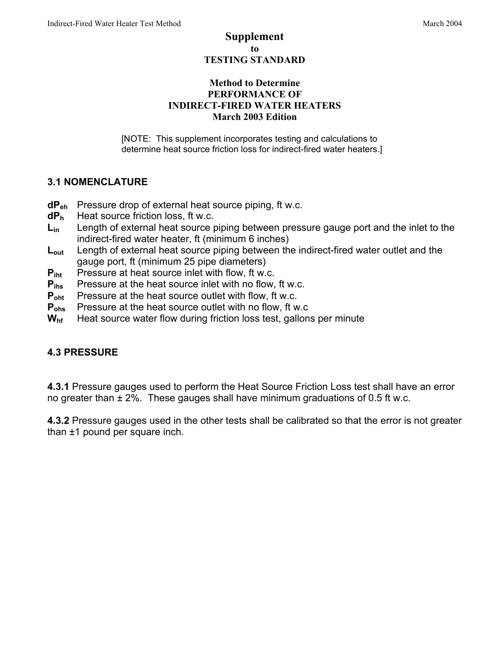#### Supplement to TESTING STANDARD

#### Method to Determine PERFORMANCE OF INDIRECT-FIRED WATER HEATERS March 2003 Edition

[NOTE: This supplement incorporates testing and calculations to determine heat source friction loss for indirect-fired water heaters.]

#### **3.1 NOMENCLATURE**

- **dPeh** Pressure drop of external heat source piping, ft w.c.
- **dPh** Heat source friction loss, ft w.c.
- **Lin** Length of external heat source piping between pressure gauge port and the inlet to the indirect-fired water heater, ft (minimum 6 inches)
- **Lout** Length of external heat source piping between the indirect-fired water outlet and the gauge port, ft (minimum 25 pipe diameters)
- **P**<sub>iht</sub> Pressure at heat source inlet with flow, ft w.c.
- **P**<sub>ihs</sub> Pressure at the heat source inlet with no flow, ft w.c.
- **Poht** Pressure at the heat source outlet with flow, ft w.c.
- **P<sub>ohs</sub>** Pressure at the heat source outlet with no flow, ft w.c
- **Whf** Heat source water flow during friction loss test, gallons per minute

#### **4.3 PRESSURE**

**4.3.1** Pressure gauges used to perform the Heat Source Friction Loss test shall have an error no greater than ± 2%. These gauges shall have minimum graduations of 0.5 ft w.c.

**4.3.2** Pressure gauges used in the other tests shall be calibrated so that the error is not greater than ±1 pound per square inch.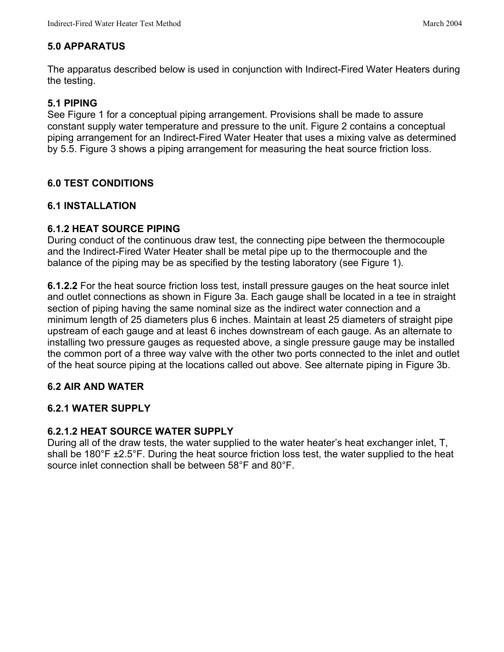#### **5.0 APPARATUS**

The apparatus described below is used in conjunction with Indirect-Fired Water Heaters during the testing.

## **5.1 PIPING**

See Figure 1 for a conceptual piping arrangement. Provisions shall be made to assure constant supply water temperature and pressure to the unit. Figure 2 contains a conceptual piping arrangement for an Indirect-Fired Water Heater that uses a mixing valve as determined by 5.5. Figure 3 shows a piping arrangement for measuring the heat source friction loss.

## **6.0 TEST CONDITIONS**

#### **6.1 INSTALLATION**

#### **6.1.2 HEAT SOURCE PIPING**

During conduct of the continuous draw test, the connecting pipe between the thermocouple and the Indirect-Fired Water Heater shall be metal pipe up to the thermocouple and the balance of the piping may be as specified by the testing laboratory (see Figure 1).

**6.1.2.2** For the heat source friction loss test, install pressure gauges on the heat source inlet and outlet connections as shown in Figure 3a. Each gauge shall be located in a tee in straight section of piping having the same nominal size as the indirect water connection and a minimum length of 25 diameters plus 6 inches. Maintain at least 25 diameters of straight pipe upstream of each gauge and at least 6 inches downstream of each gauge. As an alternate to installing two pressure gauges as requested above, a single pressure gauge may be installed the common port of a three way valve with the other two ports connected to the inlet and outlet of the heat source piping at the locations called out above. See alternate piping in Figure 3b.

#### **6.2 AIR AND WATER**

#### **6.2.1 WATER SUPPLY**

#### **6.2.1.2 HEAT SOURCE WATER SUPPLY**

During all of the draw tests, the water supplied to the water heater's heat exchanger inlet, T, shall be 180°F ±2.5°F. During the heat source friction loss test, the water supplied to the heat source inlet connection shall be between 58°F and 80°F.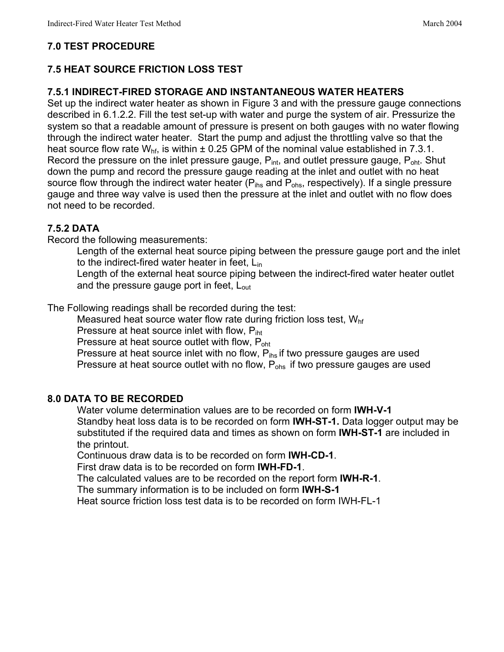#### **7.0 TEST PROCEDURE**

## **7.5 HEAT SOURCE FRICTION LOSS TEST**

#### **7.5.1 INDIRECT-FIRED STORAGE AND INSTANTANEOUS WATER HEATERS**

Set up the indirect water heater as shown in Figure 3 and with the pressure gauge connections described in 6.1.2.2. Fill the test set-up with water and purge the system of air. Pressurize the system so that a readable amount of pressure is present on both gauges with no water flowing through the indirect water heater. Start the pump and adjust the throttling valve so that the heat source flow rate  $W_{\text{hf}}$ , is within  $\pm$  0.25 GPM of the nominal value established in 7.3.1. Record the pressure on the inlet pressure gauge,  $P_{int}$ , and outlet pressure gauge,  $P_{int}$ . Shut down the pump and record the pressure gauge reading at the inlet and outlet with no heat source flow through the indirect water heater ( $P_{\text{ihs}}$  and  $P_{\text{ohs}}$ , respectively). If a single pressure gauge and three way valve is used then the pressure at the inlet and outlet with no flow does not need to be recorded.

#### **7.5.2 DATA**

Record the following measurements:

Length of the external heat source piping between the pressure gauge port and the inlet to the indirect-fired water heater in feet,  $L_{in}$ 

Length of the external heat source piping between the indirect-fired water heater outlet and the pressure gauge port in feet, L<sub>out</sub>

The Following readings shall be recorded during the test:

Measured heat source water flow rate during friction loss test,  $W<sub>hf</sub>$ 

Pressure at heat source inlet with flow, P<sub>iht</sub>

Pressure at heat source outlet with flow, P<sub>oht</sub>

Pressure at heat source inlet with no flow,  $P_{\text{ins}}$  if two pressure gauges are used Pressure at heat source outlet with no flow, P<sub>ohs</sub> if two pressure gauges are used

#### **8.0 DATA TO BE RECORDED**

Water volume determination values are to be recorded on form **IWH-V-1** Standby heat loss data is to be recorded on form **IWH-ST-1.** Data logger output may be substituted if the required data and times as shown on form **IWH-ST-1** are included in the printout.

Continuous draw data is to be recorded on form **IWH-CD-1**.

First draw data is to be recorded on form **IWH-FD-1**.

The calculated values are to be recorded on the report form **IWH-R-1**.

The summary information is to be included on form **IWH-S-1**

Heat source friction loss test data is to be recorded on form IWH-FL-1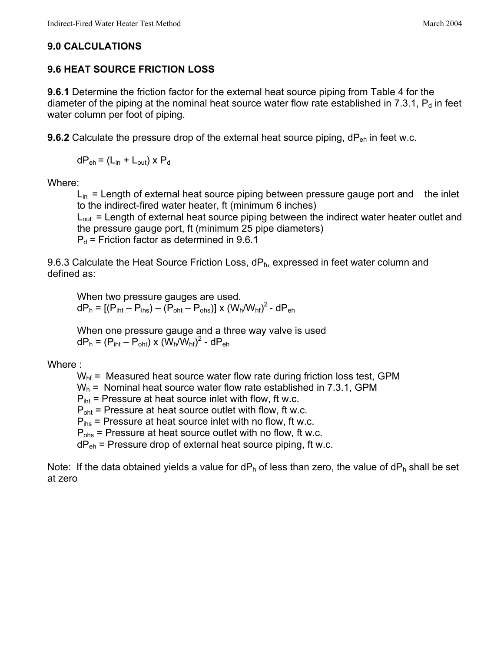#### **9.0 CALCULATIONS**

#### **9.6 HEAT SOURCE FRICTION LOSS**

**9.6.1** Determine the friction factor for the external heat source piping from Table 4 for the diameter of the piping at the nominal heat source water flow rate established in 7.3.1,  $P_d$  in feet water column per foot of piping.

**9.6.2** Calculate the pressure drop of the external heat source piping, dP<sub>eh</sub> in feet w.c.

 $dP_{eh} = (L_{in} + L_{out}) \times P_{d}$ 

Where:

 $L_{in}$  = Length of external heat source piping between pressure gauge port and the inlet to the indirect-fired water heater, ft (minimum 6 inches)

 $L_{out}$  = Length of external heat source piping between the indirect water heater outlet and the pressure gauge port, ft (minimum 25 pipe diameters)

 $P_d$  = Friction factor as determined in 9.6.1

9.6.3 Calculate the Heat Source Friction Loss,  $dP_h$ , expressed in feet water column and defined as:

When two pressure gauges are used.  $dP_h = [(P_{int} - P_{ins}) - (P_{ont} - P_{ons})] \times (W_h/W_{hf})^2$  -  $dP_{eh}$ 

When one pressure gauge and a three way valve is used  $dP_h = (P_{iht} - P_{oht}) \times (\tilde{W}_h/\tilde{W}_{hf})^2$  -  $dP_{eh}$ 

Where :

 $W<sub>hf</sub>$  = Measured heat source water flow rate during friction loss test, GPM

 $W_h$  = Nominal heat source water flow rate established in 7.3.1, GPM

 $P_{\text{int}}$  = Pressure at heat source inlet with flow, ft w.c.

 $P_{\text{oht}}$  = Pressure at heat source outlet with flow, ft w.c.

 $P_{\text{ins}}$  = Pressure at heat source inlet with no flow, ft w.c.

 $P_{obs}$  = Pressure at heat source outlet with no flow, ft w.c.

 $dP_{eh}$  = Pressure drop of external heat source piping, ft w.c.

Note: If the data obtained yields a value for  $dP_h$  of less than zero, the value of  $dP_h$  shall be set at zero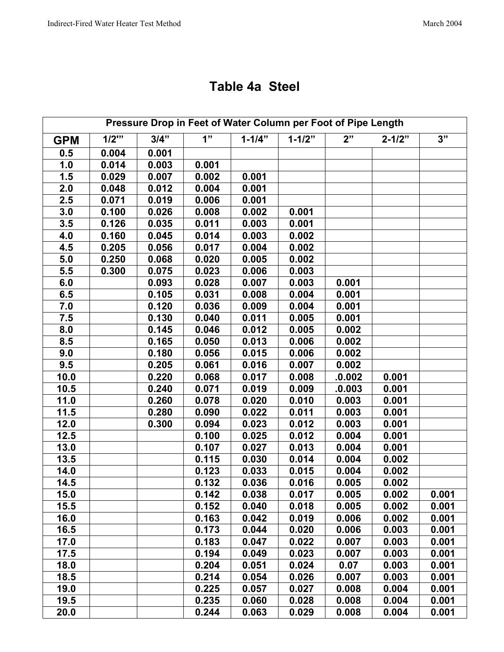# **Table 4a Steel**

| Pressure Drop in Feet of Water Column per Foot of Pipe Length |         |       |       |            |            |        |            |       |
|---------------------------------------------------------------|---------|-------|-------|------------|------------|--------|------------|-------|
| <b>GPM</b>                                                    | $1/2$ " | 3/4"  | 1"    | $1 - 1/4"$ | $1 - 1/2"$ | 2"     | $2 - 1/2"$ | 3"    |
| 0.5                                                           | 0.004   | 0.001 |       |            |            |        |            |       |
| 1.0                                                           | 0.014   | 0.003 | 0.001 |            |            |        |            |       |
| 1.5                                                           | 0.029   | 0.007 | 0.002 | 0.001      |            |        |            |       |
| 2.0                                                           | 0.048   | 0.012 | 0.004 | 0.001      |            |        |            |       |
| 2.5                                                           | 0.071   | 0.019 | 0.006 | 0.001      |            |        |            |       |
| 3.0                                                           | 0.100   | 0.026 | 0.008 | 0.002      | 0.001      |        |            |       |
| 3.5                                                           | 0.126   | 0.035 | 0.011 | 0.003      | 0.001      |        |            |       |
| 4.0                                                           | 0.160   | 0.045 | 0.014 | 0.003      | 0.002      |        |            |       |
| 4.5                                                           | 0.205   | 0.056 | 0.017 | 0.004      | 0.002      |        |            |       |
| 5.0                                                           | 0.250   | 0.068 | 0.020 | 0.005      | 0.002      |        |            |       |
| 5.5                                                           | 0.300   | 0.075 | 0.023 | 0.006      | 0.003      |        |            |       |
| 6.0                                                           |         | 0.093 | 0.028 | 0.007      | 0.003      | 0.001  |            |       |
| 6.5                                                           |         | 0.105 | 0.031 | 0.008      | 0.004      | 0.001  |            |       |
| 7.0                                                           |         | 0.120 | 0.036 | 0.009      | 0.004      | 0.001  |            |       |
| 7.5                                                           |         | 0.130 | 0.040 | 0.011      | 0.005      | 0.001  |            |       |
| 8.0                                                           |         | 0.145 | 0.046 | 0.012      | 0.005      | 0.002  |            |       |
| 8.5                                                           |         | 0.165 | 0.050 | 0.013      | 0.006      | 0.002  |            |       |
| 9.0                                                           |         | 0.180 | 0.056 | 0.015      | 0.006      | 0.002  |            |       |
| 9.5                                                           |         | 0.205 | 0.061 | 0.016      | 0.007      | 0.002  |            |       |
| 10.0                                                          |         | 0.220 | 0.068 | 0.017      | 0.008      | .0.002 | 0.001      |       |
| 10.5                                                          |         | 0.240 | 0.071 | 0.019      | 0.009      | .0.003 | 0.001      |       |
| 11.0                                                          |         | 0.260 | 0.078 | 0.020      | 0.010      | 0.003  | 0.001      |       |
| 11.5                                                          |         | 0.280 | 0.090 | 0.022      | 0.011      | 0.003  | 0.001      |       |
| 12.0                                                          |         | 0.300 | 0.094 | 0.023      | 0.012      | 0.003  | 0.001      |       |
| 12.5                                                          |         |       | 0.100 | 0.025      | 0.012      | 0.004  | 0.001      |       |
| 13.0                                                          |         |       | 0.107 | 0.027      | 0.013      | 0.004  | 0.001      |       |
| 13.5                                                          |         |       | 0.115 | 0.030      | 0.014      | 0.004  | 0.002      |       |
| 14.0                                                          |         |       | 0.123 | 0.033      | 0.015      | 0.004  | 0.002      |       |
| 14.5                                                          |         |       | 0.132 | 0.036      | 0.016      | 0.005  | 0.002      |       |
| 15.0                                                          |         |       | 0.142 | 0.038      | 0.017      | 0.005  | 0.002      | 0.001 |
| 15.5                                                          |         |       | 0.152 | 0.040      | 0.018      | 0.005  | 0.002      | 0.001 |
| 16.0                                                          |         |       | 0.163 | 0.042      | 0.019      | 0.006  | 0.002      | 0.001 |
| 16.5                                                          |         |       | 0.173 | 0.044      | 0.020      | 0.006  | 0.003      | 0.001 |
| 17.0                                                          |         |       | 0.183 | 0.047      | 0.022      | 0.007  | 0.003      | 0.001 |
| 17.5                                                          |         |       | 0.194 | 0.049      | 0.023      | 0.007  | 0.003      | 0.001 |
| 18.0                                                          |         |       | 0.204 | 0.051      | 0.024      | 0.07   | 0.003      | 0.001 |
| 18.5                                                          |         |       | 0.214 | 0.054      | 0.026      | 0.007  | 0.003      | 0.001 |
| 19.0                                                          |         |       | 0.225 | 0.057      | 0.027      | 0.008  | 0.004      | 0.001 |
| 19.5                                                          |         |       | 0.235 | 0.060      | 0.028      | 0.008  | 0.004      | 0.001 |
| 20.0                                                          |         |       | 0.244 | 0.063      | 0.029      | 0.008  | 0.004      | 0.001 |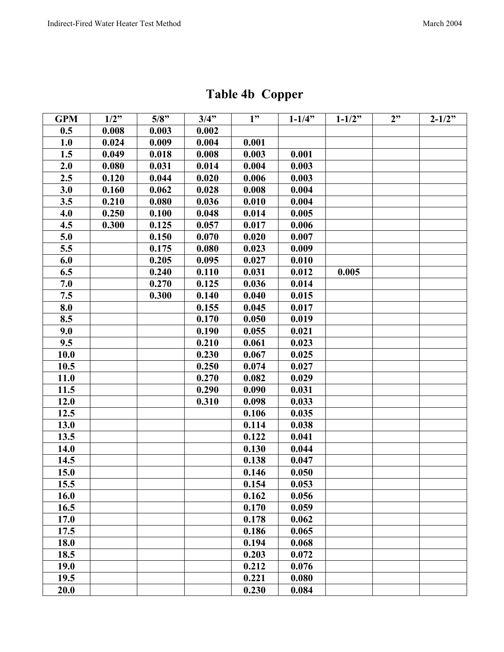| <b>Table 4b Copper</b> |  |
|------------------------|--|
|------------------------|--|

| <b>GPM</b> | $1/2$ " | 5/8"  | 3/4"  | 1"    | $1 - 1/4$ " | $1 - 1/2"$ | 2" | $2 - 1/2$ " |
|------------|---------|-------|-------|-------|-------------|------------|----|-------------|
| 0.5        | 0.008   | 0.003 | 0.002 |       |             |            |    |             |
| 1.0        | 0.024   | 0.009 | 0.004 | 0.001 |             |            |    |             |
| 1.5        | 0.049   | 0.018 | 0.008 | 0.003 | 0.001       |            |    |             |
| 2.0        | 0.080   | 0.031 | 0.014 | 0.004 | 0.003       |            |    |             |
| 2.5        | 0.120   | 0.044 | 0.020 | 0.006 | 0.003       |            |    |             |
| 3.0        | 0.160   | 0.062 | 0.028 | 0.008 | 0.004       |            |    |             |
| 3.5        | 0.210   | 0.080 | 0.036 | 0.010 | 0.004       |            |    |             |
| 4.0        | 0.250   | 0.100 | 0.048 | 0.014 | 0.005       |            |    |             |
| 4.5        | 0.300   | 0.125 | 0.057 | 0.017 | 0.006       |            |    |             |
| 5.0        |         | 0.150 | 0.070 | 0.020 | 0.007       |            |    |             |
| 5.5        |         | 0.175 | 0.080 | 0.023 | 0.009       |            |    |             |
| 6.0        |         | 0.205 | 0.095 | 0.027 | 0.010       |            |    |             |
| 6.5        |         | 0.240 | 0.110 | 0.031 | 0.012       | 0.005      |    |             |
| 7.0        |         | 0.270 | 0.125 | 0.036 | 0.014       |            |    |             |
| 7.5        |         | 0.300 | 0.140 | 0.040 | 0.015       |            |    |             |
| 8.0        |         |       | 0.155 | 0.045 | 0.017       |            |    |             |
| 8.5        |         |       | 0.170 | 0.050 | 0.019       |            |    |             |
| 9.0        |         |       | 0.190 | 0.055 | 0.021       |            |    |             |
| 9.5        |         |       | 0.210 | 0.061 | 0.023       |            |    |             |
| 10.0       |         |       | 0.230 | 0.067 | 0.025       |            |    |             |
| 10.5       |         |       | 0.250 | 0.074 | 0.027       |            |    |             |
| 11.0       |         |       | 0.270 | 0.082 | 0.029       |            |    |             |
| 11.5       |         |       | 0.290 | 0.090 | 0.031       |            |    |             |
| 12.0       |         |       | 0.310 | 0.098 | 0.033       |            |    |             |
| 12.5       |         |       |       | 0.106 | 0.035       |            |    |             |
| 13.0       |         |       |       | 0.114 | 0.038       |            |    |             |
| 13.5       |         |       |       | 0.122 | 0.041       |            |    |             |
| 14.0       |         |       |       | 0.130 | 0.044       |            |    |             |
| 14.5       |         |       |       | 0.138 | 0.047       |            |    |             |
| 15.0       |         |       |       | 0.146 | 0.050       |            |    |             |
| 15.5       |         |       |       | 0.154 | 0.053       |            |    |             |
| 16.0       |         |       |       | 0.162 | 0.056       |            |    |             |
| 16.5       |         |       |       | 0.170 | 0.059       |            |    |             |
| 17.0       |         |       |       | 0.178 | 0.062       |            |    |             |
| 17.5       |         |       |       | 0.186 | 0.065       |            |    |             |
| 18.0       |         |       |       | 0.194 | 0.068       |            |    |             |
| 18.5       |         |       |       | 0.203 | 0.072       |            |    |             |
| 19.0       |         |       |       | 0.212 | 0.076       |            |    |             |
| 19.5       |         |       |       | 0.221 | 0.080       |            |    |             |
| 20.0       |         |       |       | 0.230 | 0.084       |            |    |             |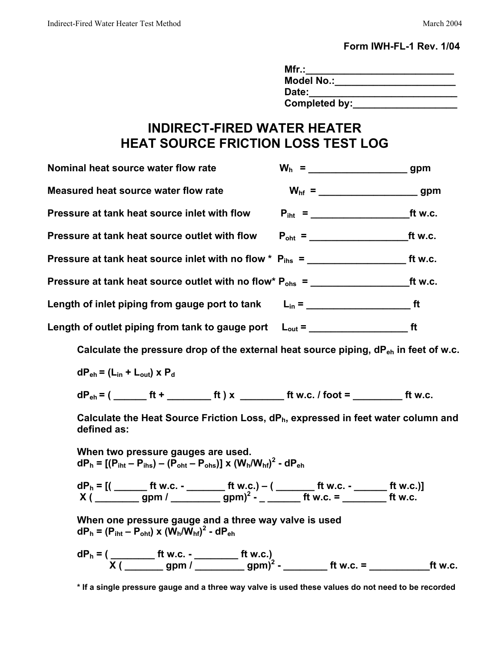#### **Form IWH-FL-1 Rev. 1/04**

| Mfr.:             |  |
|-------------------|--|
| <b>Model No.:</b> |  |
| Date:             |  |
| Completed by:     |  |

## **INDIRECT-FIRED WATER HEATER HEAT SOURCE FRICTION LOSS TEST LOG**

| Nominal heat source water flow rate           |    |
|-----------------------------------------------|----|
| Measured heat source water flow rate          |    |
| Pressure at tank heat source inlet with flow  |    |
| Pressure at tank heat source outlet with flow |    |
|                                               |    |
|                                               |    |
|                                               |    |
|                                               | ft |

Calculate the pressure drop of the external heat source piping, dP<sub>eh</sub> in feet of w.c.

 $dP_{eh} = (L_{in} + L_{out}) \times P_d$ 

 $dP_{eh} = ($  \_\_\_\_\_\_\_\_ ft + \_\_\_\_\_\_\_\_\_\_\_ ft ) x \_\_\_\_\_\_\_\_\_\_\_\_\_ ft w.c. / foot = \_\_\_\_\_\_\_\_\_\_\_\_\_\_ ft w.c.

Calculate the Heat Source Friction Loss, dP<sub>h</sub>, expressed in feet water column and **defined as:**

**When two pressure gauges are used.**  $dP_h = [(P_{int} - P_{ins}) - (P_{oht} - P_{obs})] \times (W_h/W_{hf})^2 - dP_{eh}$ **dPh = [( \_\_\_\_\_\_ ft w.c. - \_\_\_\_\_\_\_ ft w.c.) – ( \_\_\_\_\_\_\_ ft w.c. - \_\_\_\_\_\_ ft w.c.)]**

 **X ( \_\_\_\_\_\_\_\_ gpm / \_\_\_\_\_\_\_\_\_ gpm)2 - \_ \_\_\_\_\_\_ ft w.c. = \_\_\_\_\_\_\_\_ ft w.c. When one pressure gauge and a three way valve is used**

 $dP_h = (P_{iht} - P_{oht}) \times (W_h/W_{hf})^2$  -  $dP_{eh}$ 

**dPh = ( \_\_\_\_\_\_\_\_ ft w.c. - \_\_\_\_\_\_\_\_ ft w.c.)**  $\overline{X($  \_\_\_\_\_\_\_\_ gpm / \_\_\_\_\_\_\_\_\_ gpm)<sup>2</sup> - \_\_\_\_\_\_\_\_\_ ft w.c. = \_\_\_\_\_\_\_\_\_\_\_\_\_\_\_\_\_\_ ft w.c.

**<sup>\*</sup> If a single pressure gauge and a three way valve is used these values do not need to be recorded**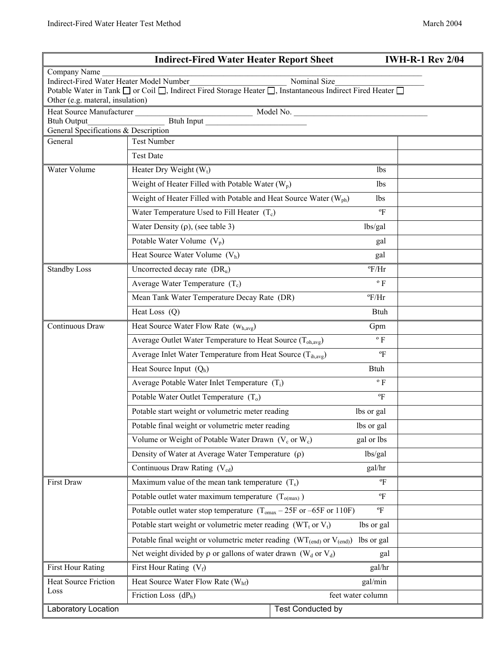| <b>IWH-R-1 Rev 2/04</b><br><b>Indirect-Fired Water Heater Report Sheet</b>                                                                                                                                                |                                                                                            |                          |                  |  |  |  |  |
|---------------------------------------------------------------------------------------------------------------------------------------------------------------------------------------------------------------------------|--------------------------------------------------------------------------------------------|--------------------------|------------------|--|--|--|--|
| Company Name<br>Indirect-Fired Water Heater Model Number<br>Nominal Size<br>Potable Water in Tank □ or Coil □, Indirect Fired Storage Heater □, Instantaneous Indirect Fired Heater □<br>Other (e.g. materal, insulation) |                                                                                            |                          |                  |  |  |  |  |
|                                                                                                                                                                                                                           |                                                                                            |                          |                  |  |  |  |  |
| General Specifications & Description                                                                                                                                                                                      |                                                                                            |                          |                  |  |  |  |  |
| General                                                                                                                                                                                                                   | <b>Test Number</b>                                                                         |                          |                  |  |  |  |  |
|                                                                                                                                                                                                                           | <b>Test Date</b>                                                                           |                          |                  |  |  |  |  |
| Water Volume                                                                                                                                                                                                              | Heater Dry Weight $(W_t)$                                                                  | <b>lbs</b>               |                  |  |  |  |  |
|                                                                                                                                                                                                                           | Weight of Heater Filled with Potable Water $(W_p)$                                         | lbs                      |                  |  |  |  |  |
|                                                                                                                                                                                                                           | Weight of Heater Filled with Potable and Heat Source Water (W <sub>ph</sub> )              | lbs                      |                  |  |  |  |  |
|                                                                                                                                                                                                                           | Water Temperature Used to Fill Heater $(T_c)$                                              |                          | $\Gamma$         |  |  |  |  |
|                                                                                                                                                                                                                           | Water Density $(\rho)$ , (see table 3)                                                     | lbs/gal                  |                  |  |  |  |  |
|                                                                                                                                                                                                                           | Potable Water Volume $(V_p)$                                                               |                          | gal              |  |  |  |  |
|                                                                                                                                                                                                                           | Heat Source Water Volume $(Vh)$                                                            |                          | gal              |  |  |  |  |
| <b>Standby Loss</b>                                                                                                                                                                                                       | Uncorrected decay rate $(DR_u)$                                                            |                          | $\mathrm{P/Hr}$  |  |  |  |  |
|                                                                                                                                                                                                                           | Average Water Temperature $(T_c)$                                                          |                          | $\rm ^{o}$ F     |  |  |  |  |
|                                                                                                                                                                                                                           | Mean Tank Water Temperature Decay Rate (DR)                                                |                          | $\mathrm{P/Hr}$  |  |  |  |  |
|                                                                                                                                                                                                                           | Heat Loss (Q)                                                                              |                          | <b>Btuh</b>      |  |  |  |  |
| Continuous Draw                                                                                                                                                                                                           | Heat Source Water Flow Rate $(w_{h,avg})$                                                  |                          |                  |  |  |  |  |
|                                                                                                                                                                                                                           | Average Outlet Water Temperature to Heat Source $(T_{oh. avg})$                            |                          |                  |  |  |  |  |
|                                                                                                                                                                                                                           | Average Inlet Water Temperature from Heat Source (T <sub>ih,avg</sub> )                    |                          |                  |  |  |  |  |
|                                                                                                                                                                                                                           | Heat Source Input $(Q_h)$                                                                  |                          | <b>Btuh</b>      |  |  |  |  |
|                                                                                                                                                                                                                           | Average Potable Water Inlet Temperature (T <sub>i</sub> )                                  |                          | $\rm ^{\circ}$ F |  |  |  |  |
|                                                                                                                                                                                                                           | Potable Water Outlet Temperature $(T_0)$                                                   |                          | $\Gamma$         |  |  |  |  |
|                                                                                                                                                                                                                           | Potable start weight or volumetric meter reading                                           |                          | lbs or gal       |  |  |  |  |
|                                                                                                                                                                                                                           | Potable final weight or volumetric meter reading                                           |                          | lbs or gal       |  |  |  |  |
|                                                                                                                                                                                                                           | Volume or Weight of Potable Water Drawn $(V_c \text{ or } W_c)$                            |                          | gal or lbs       |  |  |  |  |
|                                                                                                                                                                                                                           | Density of Water at Average Water Temperature $(\rho)$                                     |                          | lbs/gal          |  |  |  |  |
|                                                                                                                                                                                                                           | Continuous Draw Rating (V <sub>cd</sub> )                                                  |                          | gal/hr           |  |  |  |  |
| <b>First Draw</b>                                                                                                                                                                                                         | Maximum value of the mean tank temperature $(T_s)$                                         |                          | $\mathrm{P}$     |  |  |  |  |
|                                                                                                                                                                                                                           | Potable outlet water maximum temperature $(T_{o(max)})$                                    |                          |                  |  |  |  |  |
|                                                                                                                                                                                                                           | Potable outlet water stop temperature $(T_{omax} - 25F \text{ or } -65F \text{ or } 110F)$ | $\mathrm{P}$             |                  |  |  |  |  |
|                                                                                                                                                                                                                           | Potable start weight or volumetric meter reading $(WT_t$ or $V_t)$                         | lbs or gal               |                  |  |  |  |  |
|                                                                                                                                                                                                                           | Potable final weight or volumetric meter reading $(WT_{(end)}$ or $V_{(end)}$ )            | lbs or gal               |                  |  |  |  |  |
|                                                                                                                                                                                                                           | Net weight divided by $\rho$ or gallons of water drawn (W <sub>d</sub> or V <sub>d</sub> ) | gal                      |                  |  |  |  |  |
| <b>First Hour Rating</b>                                                                                                                                                                                                  | gal/hr<br>First Hour Rating $(V_f)$                                                        |                          |                  |  |  |  |  |
| <b>Heat Source Friction</b>                                                                                                                                                                                               | Heat Source Water Flow Rate (Whf)<br>gal/min                                               |                          |                  |  |  |  |  |
| Loss<br>Friction Loss $(dP_h)$<br>feet water column                                                                                                                                                                       |                                                                                            |                          |                  |  |  |  |  |
| Laboratory Location                                                                                                                                                                                                       |                                                                                            | <b>Test Conducted by</b> |                  |  |  |  |  |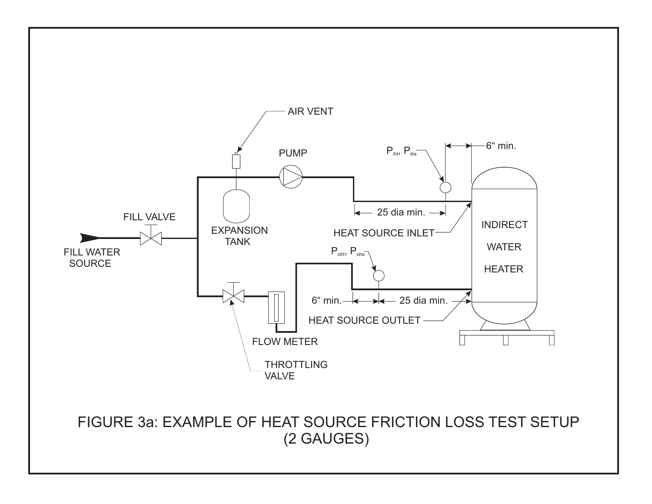